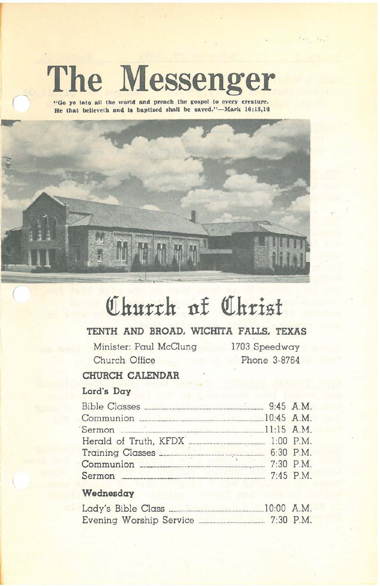# **The Messenger**

**( "Go ye Into all the world and preach the gospel to every creature.** He that believeth and is baptized shall be saved."-Mark 16:15,16



# Church of Christ

# **TENTH AND BROAD. WICmTA FALLS. TEXAS**

Minister: Paul McClung 1703 Speedway Church Office Phone 3-8764

 $\mathcal{F}_{\text{max}}$ 

## **CHURCH CALENDAR**

# Lord's **Day**

| Communion 20145 A.M.              |  |
|-----------------------------------|--|
|                                   |  |
| Herald of Truth, KFDX [1:00 P.M.] |  |
|                                   |  |
|                                   |  |
| Sermon 2:45 P.M.                  |  |

#### **Wednesday**

| Lady's Bible Class |  |                         |  | $10:00$ A.M. |
|--------------------|--|-------------------------|--|--------------|
|                    |  | Evening Worship Service |  | $7:30$ P.M.  |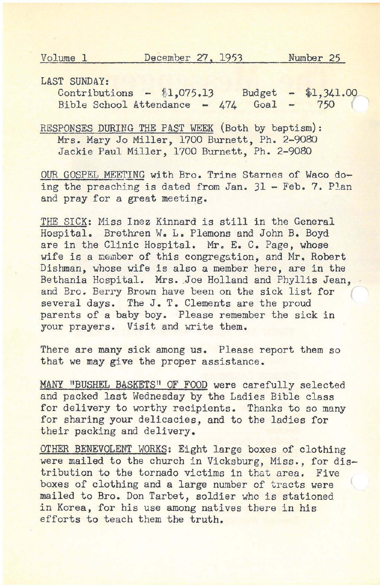LAST SUNDAY:

Contributions - \$1,075.13 Budget - \$1,341.00<br>Bible School Attendance - 474 Goal - 750 Bible School Attendance - 474 Goal -750

RESPONSES DURING THE PAST WEEK (Both by baptism): Mrs. Mary Jo Miller, 1700 Burnett, Ph. 2-9080 Jackie Paul Miller, 1700 Burnett, Ph. 2-9080

OUR GOSPEL MEETING with Bro. Trine Starnes of Waco doing the preaching is dated from Jan. 31 - Feb. 7. Plan and pray for a great meeting.

THE SICK: Miss Inez Kinnard is still in the General Hospital. Brethren W. L. Plemons and John B. Boyd are in the Clinic Hospital. Mr. E. C. Page, whose wife is a member of this congregation, and Mr. Robert Dishman, whose wife is also a member here, are in the Bethania Hospital. Mrs. Joe Holland and Phyllis Jean, and Bro. Berry Brown have been on the sick list for several days. The J. T. Clements are the proud parents of a baby boy. Please remember the sick in your prayers. Visit and write them.

There are many sick among us. Please report them so that we may give the proper assistance.

MANY "BUSHEL BASKETS" OF FOOD were carefully selected and packed last Wednesday by the Ladies Bible class for delivery to worthy recipients. Thanks to so many for sharing your delicacies, and to the ladies for their packing and delivery,

OTHER BENEVOLENT WORKS: Eight large boxes of clothing were mailed to the church in Vicksburg, Miss., for distribution to the tornado victims in that area. Five boxes of clothing and a large number of tracts were mailed to Bro. Don Tarbet, soldier who is stationed in Korea, for his use among natives there in his efforts to teach them the truth,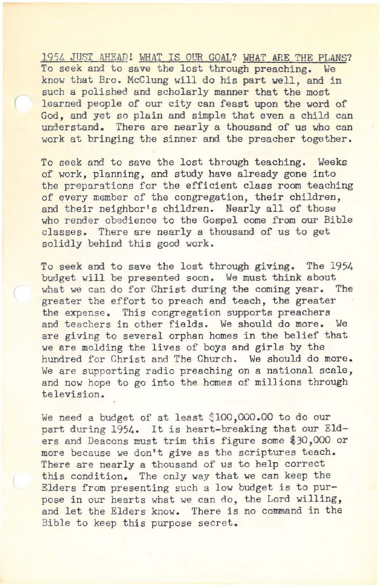1951. JUST AHEAD! WHAT IS OUR GOAL? WHAT ARE THE PLANS? To seek and to save the lost through preaching. We know that Bro. McClung will do his part well, and in such a polished and scholarly manner that the most learned people of our city can feast upon the word of God, and yet so plain and simple that even a child can understand. There are nearly a thousand of us who can work at bringing the sinner and the preacher together.

To seek and to save the lost through teaching. Weeks of work, planning, and study have already gone into the preparations for the efficient class room teaching of every member of the congregation, their children, and their neighbor's children. Nearly all of those who render obedience to the Gospel come from our Bible classes. There are nearly a thousand of us to get solidly behind this good work.

To seek and to save the lost through giving. The 1954 budget will be presented soon. We must think about what we can do for Christ during the coming year. The greater the effort to preach and teach, the greater the expense. This congregation supports preachers and teachers in other fields. We should do more. We are giving to several orphan homes in the belief that we are molding the lives of boys and girls by the hundred for Christ and The Church. We should do more. We are supporting radio preaching on a national scale, and now hope to go into the homes of millions through television.

We need a budget of at least \$100,000.00 to do our part during 1954. It is heart-breaking that our Elders and Deacons must trim this figure some \$30,000 or more because we don't give as the scriptures teach. There are nearly a thousand of us to help correct this condition. The only way that we can keep the Elders from presenting such a low budget is to purpose in our hearts what we can do, the Lord willing, and let the Elders know. There is no command in the Bible to keep this purpose secret.